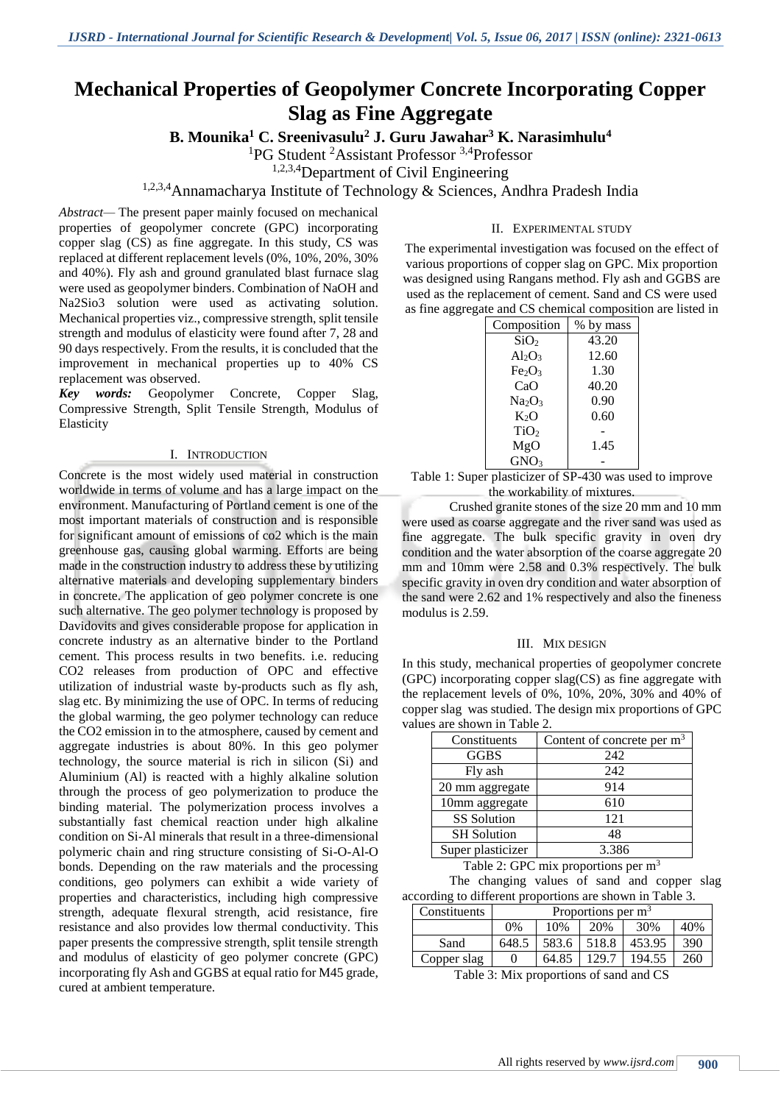# **Mechanical Properties of Geopolymer Concrete Incorporating Copper Slag as Fine Aggregate**

**B. Mounika<sup>1</sup> C. Sreenivasulu<sup>2</sup> J. Guru Jawahar<sup>3</sup> K. Narasimhulu<sup>4</sup>**

<sup>1</sup>PG Student <sup>2</sup>Assistant Professor <sup>3,4</sup>Professor

1,2,3,4Department of Civil Engineering

1,2,3,4Annamacharya Institute of Technology & Sciences, Andhra Pradesh India

II. EXPERIMENTAL STUDY

*Abstract—* The present paper mainly focused on mechanical properties of geopolymer concrete (GPC) incorporating copper slag (CS) as fine aggregate. In this study, CS was replaced at different replacement levels (0%, 10%, 20%, 30% and 40%). Fly ash and ground granulated blast furnace slag were used as geopolymer binders. Combination of NaOH and Na2Sio3 solution were used as activating solution. Mechanical properties viz., compressive strength, split tensile strength and modulus of elasticity were found after 7, 28 and 90 days respectively. From the results, it is concluded that the improvement in mechanical properties up to 40% CS replacement was observed.

*Key words:* Geopolymer Concrete, Copper Slag, Compressive Strength, Split Tensile Strength, Modulus of Elasticity

#### I. INTRODUCTION

Concrete is the most widely used material in construction worldwide in terms of volume and has a large impact on the environment. Manufacturing of Portland cement is one of the most important materials of construction and is responsible for significant amount of emissions of co2 which is the main greenhouse gas, causing global warming. Efforts are being made in the construction industry to address these by utilizing alternative materials and developing supplementary binders in concrete. The application of geo polymer concrete is one such alternative. The geo polymer technology is proposed by Davidovits and gives considerable propose for application in concrete industry as an alternative binder to the Portland cement. This process results in two benefits. i.e. reducing CO2 releases from production of OPC and effective utilization of industrial waste by-products such as fly ash, slag etc. By minimizing the use of OPC. In terms of reducing the global warming, the geo polymer technology can reduce the CO2 emission in to the atmosphere, caused by cement and aggregate industries is about 80%. In this geo polymer technology, the source material is rich in silicon (Si) and Aluminium (Al) is reacted with a highly alkaline solution through the process of geo polymerization to produce the binding material. The polymerization process involves a substantially fast chemical reaction under high alkaline condition on Si-Al minerals that result in a three-dimensional polymeric chain and ring structure consisting of Si-O-Al-O bonds. Depending on the raw materials and the processing conditions, geo polymers can exhibit a wide variety of properties and characteristics, including high compressive strength, adequate flexural strength, acid resistance, fire resistance and also provides low thermal conductivity. This paper presents the compressive strength, split tensile strength and modulus of elasticity of geo polymer concrete (GPC) incorporating fly Ash and GGBS at equal ratio for M45 grade, cured at ambient temperature.

The experimental investigation was focused on the effect of various proportions of copper slag on GPC. Mix proportion was designed using Rangans method. Fly ash and GGBS are used as the replacement of cement. Sand and CS were used as fine aggregate and CS chemical composition are listed in

| Composition                    | % by mass |
|--------------------------------|-----------|
| SiO <sub>2</sub>               | 43.20     |
| $Al_2O_3$                      | 12.60     |
| Fe <sub>2</sub> O <sub>3</sub> | 1.30      |
| CaO                            | 40.20     |
| Na <sub>2</sub> O <sub>3</sub> | 0.90      |
| $K_2O$                         | 0.60      |
| TiO <sub>2</sub>               |           |
| MgO                            | 1.45      |
| GNO <sub>3</sub>               |           |

Table 1: Super plasticizer of SP-430 was used to improve the workability of mixtures.

Crushed granite stones of the size 20 mm and 10 mm were used as coarse aggregate and the river sand was used as fine aggregate. The bulk specific gravity in oven dry condition and the water absorption of the coarse aggregate 20 mm and 10mm were 2.58 and 0.3% respectively. The bulk specific gravity in oven dry condition and water absorption of the sand were 2.62 and 1% respectively and also the fineness modulus is 2.59.

### III. MIX DESIGN

In this study, mechanical properties of geopolymer concrete (GPC) incorporating copper slag(CS) as fine aggregate with the replacement levels of 0%, 10%, 20%, 30% and 40% of copper slag was studied. The design mix proportions of GPC values are shown in Table 2.

| Constituents       | Content of concrete per $m3$ |
|--------------------|------------------------------|
| <b>GGBS</b>        | 242                          |
| Fly ash            | 242                          |
| 20 mm aggregate    | 914                          |
| 10mm aggregate     | 610                          |
| <b>SS</b> Solution | 121                          |
| <b>SH</b> Solution | 48                           |
| Super plasticizer  | 3.386                        |

Table 2: GPC mix proportions per  $m<sup>3</sup>$ 

The changing values of sand and copper slag according to different proportions are shown in Table 3.

| Constituents | Proportions per $m3$ |                   |       |        |     |  |  |
|--------------|----------------------|-------------------|-------|--------|-----|--|--|
|              | 0%                   | 30%<br>10%<br>20% |       |        |     |  |  |
| Sand         | 648.5                | 583.6             | 518.8 | 453.95 | 390 |  |  |
| Copper slag  |                      | 64.85             | 129.7 | 194.55 | 260 |  |  |

Table 3: Mix proportions of sand and CS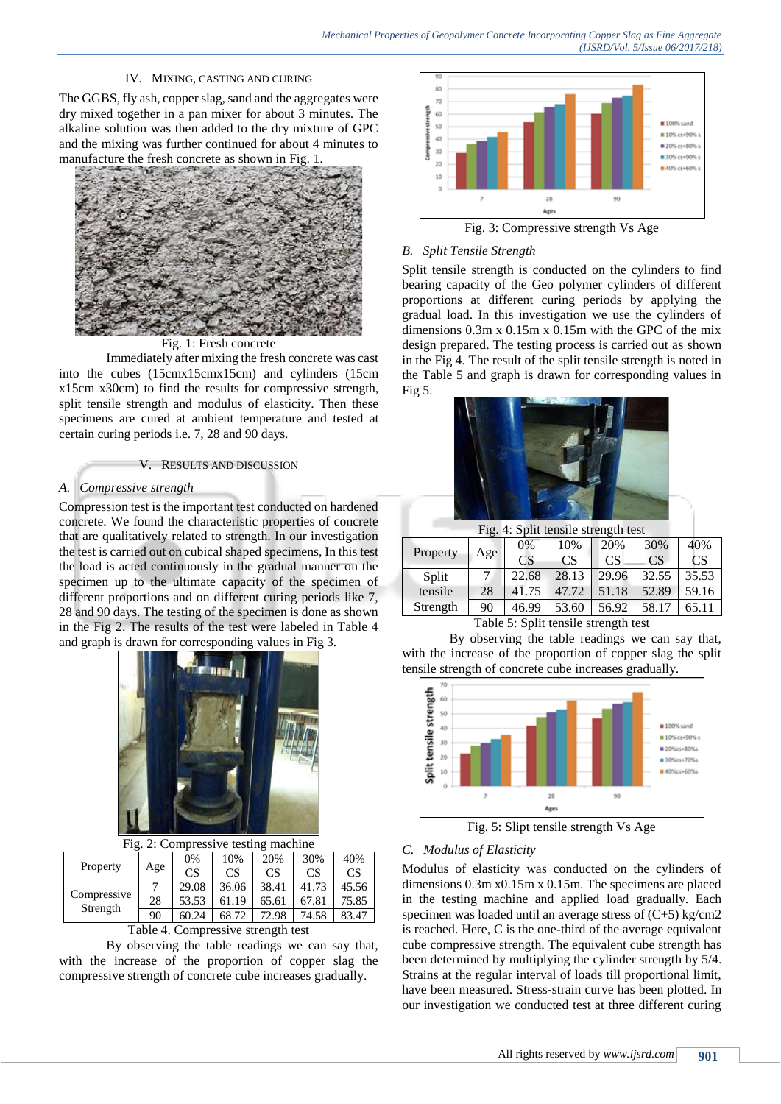# IV. MIXING, CASTING AND CURING

The GGBS, fly ash, copper slag, sand and the aggregates were dry mixed together in a pan mixer for about 3 minutes. The alkaline solution was then added to the dry mixture of GPC and the mixing was further continued for about 4 minutes to manufacture the fresh concrete as shown in Fig. 1.



Fig. 1: Fresh concrete

Immediately after mixing the fresh concrete was cast into the cubes (15cmx15cmx15cm) and cylinders (15cm x15cm x30cm) to find the results for compressive strength, split tensile strength and modulus of elasticity. Then these specimens are cured at ambient temperature and tested at certain curing periods i.e. 7, 28 and 90 days.

#### V. RESULTS AND DISCUSSION

#### *A. Compressive strength*

Compression test is the important test conducted on hardened concrete. We found the characteristic properties of concrete that are qualitatively related to strength. In our investigation the test is carried out on cubical shaped specimens, In this test the load is acted continuously in the gradual manner on the specimen up to the ultimate capacity of the specimen of different proportions and on different curing periods like 7, 28 and 90 days. The testing of the specimen is done as shown in the Fig 2. The results of the test were labeled in Table 4 and graph is drawn for corresponding values in Fig 3.



Fig. 2: Compressive testing machine

|                         | Age | 0%        | 10%   | 20%   | 30%   | 40%   |
|-------------------------|-----|-----------|-------|-------|-------|-------|
| Property                |     | <b>CS</b> | CS    | CS    | CS    | CS    |
| Compressive<br>Strength |     | 29.08     | 36.06 | 38.41 | 41.73 | 45.56 |
|                         | 28  | 53.53     | 61.19 | 65.61 | 67.81 | 75.85 |
|                         | 90  | 60.24     | 68.72 | 72.98 | 74.58 | 83.47 |
| $-$                     |     |           |       |       |       |       |

Table 4. Compressive strength test

By observing the table readings we can say that, with the increase of the proportion of copper slag the compressive strength of concrete cube increases gradually.



## *B. Split Tensile Strength*

Split tensile strength is conducted on the cylinders to find bearing capacity of the Geo polymer cylinders of different proportions at different curing periods by applying the gradual load. In this investigation we use the cylinders of dimensions 0.3m x 0.15m x 0.15m with the GPC of the mix design prepared. The testing process is carried out as shown in the Fig 4. The result of the split tensile strength is noted in the Table 5 and graph is drawn for corresponding values in Fig 5.



| Fig. 4: Split tensile strength test |     |           |       |           |       |           |  |  |  |
|-------------------------------------|-----|-----------|-------|-----------|-------|-----------|--|--|--|
|                                     | Age | 0%        | 10%   | 20%       | 30%   | 40%       |  |  |  |
| Property                            |     | <b>CS</b> | CS    | <b>CS</b> | CS    | <b>CS</b> |  |  |  |
| Split                               |     | 22.68     | 28.13 | 29.96     | 32.55 | 35.53     |  |  |  |
| tensile                             | 28  | 41.75     | 47.72 | 51.18     | 52.89 | 59.16     |  |  |  |
| Strength                            | 90  | 46.99     | 53.60 | 56.92     | 58.17 | 65.11     |  |  |  |

Table 5: Split tensile strength test

By observing the table readings we can say that, with the increase of the proportion of copper slag the split tensile strength of concrete cube increases gradually.



Fig. 5: Slipt tensile strength Vs Age

### *C. Modulus of Elasticity*

Modulus of elasticity was conducted on the cylinders of dimensions 0.3m x0.15m x 0.15m. The specimens are placed in the testing machine and applied load gradually. Each specimen was loaded until an average stress of  $(C+5)$  kg/cm2 is reached. Here, C is the one-third of the average equivalent cube compressive strength. The equivalent cube strength has been determined by multiplying the cylinder strength by 5/4. Strains at the regular interval of loads till proportional limit, have been measured. Stress-strain curve has been plotted. In our investigation we conducted test at three different curing